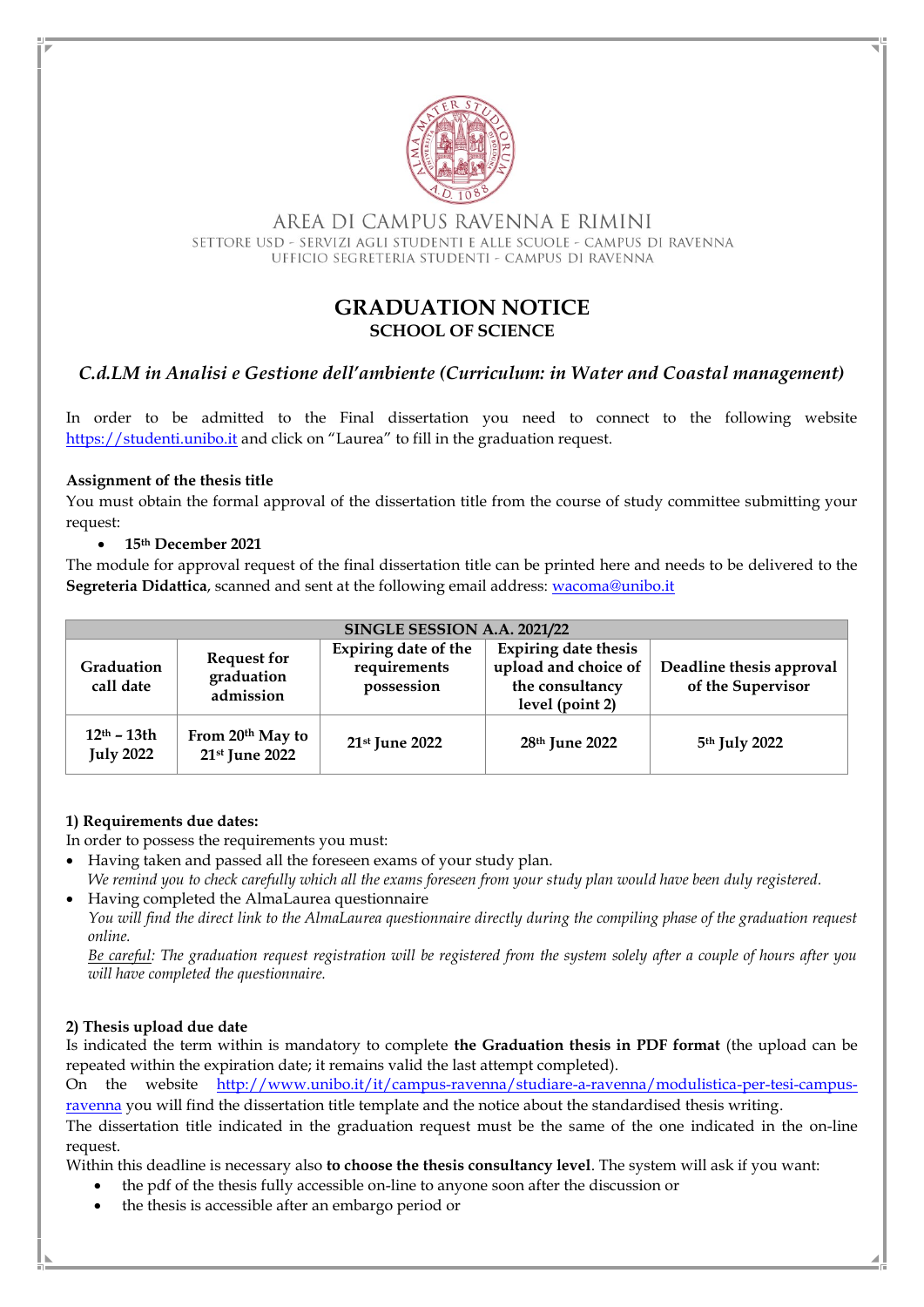

AREA DI CAMPUS RAVENNA E RIMINI SETTORE USD - SERVIZI AGLI STUDENTI E ALLE SCUOLE - CAMPUS DI RAVENNA UFFICIO SEGRETERIA STUDENTI - CAMPUS DI RAVENNA

# **GRADUATION NOTICE SCHOOL OF SCIENCE**

# *C.d.LM in Analisi e Gestione dell'ambiente (Curriculum: in Water and Coastal management)*

In order to be admitted to the Final dissertation you need to connect to the following website [https://studenti.unibo.it](https://studenti.unibo.it/) and click on "Laurea" to fill in the graduation request.

## **Assignment of the thesis title**

You must obtain the formal approval of the dissertation title from the course of study committee submitting your request:

## • **15th December 2021**

The module for approval request of the final dissertation title can be printed here and needs to be delivered to the **Segreteria Didattica**, scanned and sent at the following email address: [wacoma@unibo.it](mailto:wacoma@unibo.it)

| SINGLE SESSION A.A. 2021/22       |                                               |                                                           |                                                                                           |                                                 |
|-----------------------------------|-----------------------------------------------|-----------------------------------------------------------|-------------------------------------------------------------------------------------------|-------------------------------------------------|
| Graduation<br>call date           | <b>Request for</b><br>graduation<br>admission | <b>Expiring date of the</b><br>requirements<br>possession | <b>Expiring date thesis</b><br>upload and choice of<br>the consultancy<br>level (point 2) | Deadline thesis approval  <br>of the Supervisor |
| $12th - 13th$<br><b>July 2022</b> | From 20th May to<br>21st June 2022            | $21st$ June 2022                                          | 28 <sup>th</sup> June 2022                                                                | 5 <sup>th</sup> July 2022                       |

# **1) Requirements due dates:**

In order to possess the requirements you must:

- Having taken and passed all the foreseen exams of your study plan.
- *We remind you to check carefully which all the exams foreseen from your study plan would have been duly registered.* • Having completed the AlmaLaurea questionnaire

*You will find the direct link to the AlmaLaurea questionnaire directly during the compiling phase of the graduation request online.* 

*Be careful: The graduation request registration will be registered from the system solely after a couple of hours after you will have completed the questionnaire.*

# **2) Thesis upload due date**

Is indicated the term within is mandatory to complete **the Graduation thesis in PDF format** (the upload can be repeated within the expiration date; it remains valid the last attempt completed).

On the website [http://www.unibo.it/it/campus-ravenna/studiare-a-ravenna/modulistica-per-tesi-campus](http://www.unibo.it/it/campus-ravenna/studiare-a-ravenna/modulistica-per-tesi-campus-ravenna)[ravenna](http://www.unibo.it/it/campus-ravenna/studiare-a-ravenna/modulistica-per-tesi-campus-ravenna) you will find the dissertation title template and the notice about the standardised thesis writing.

The dissertation title indicated in the graduation request must be the same of the one indicated in the on-line request.

Within this deadline is necessary also **to choose the thesis consultancy level**. The system will ask if you want:

- the pdf of the thesis fully accessible on-line to anyone soon after the discussion or
- the thesis is accessible after an embargo period or